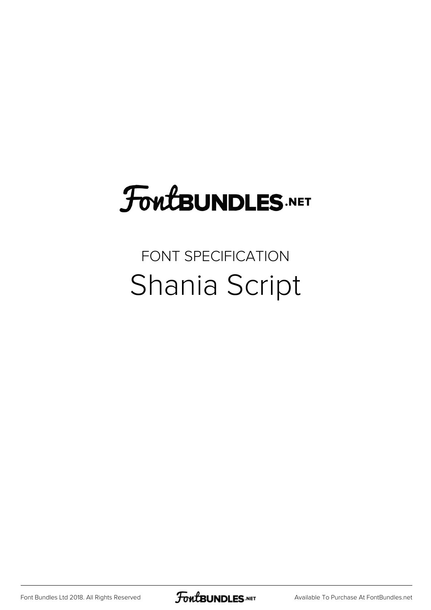## FoutBUNDLES.NET

## FONT SPECIFICATION Shania Script

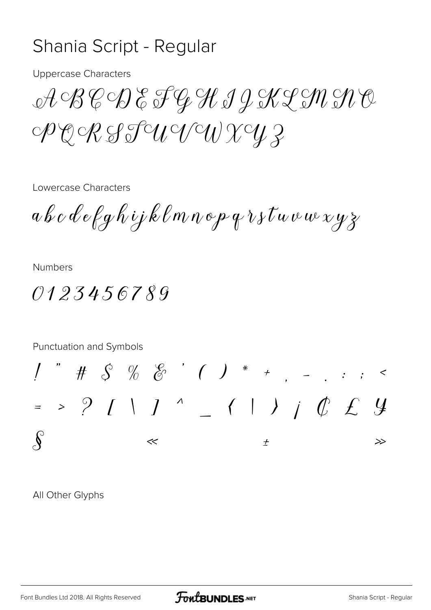## Shania Script - Regular

Uppercase Characters

ABCDEFGHIJKLMNO PQRSTUVWXYZ

Lowercase Characters

abcdefghijklmnopqrstuvwxyz

Numbers

0123456789

Punctuation and Symbols

! " # \$ % & ' ( ) \* + , - . : ; < = > ? [ \ ] ^ \_ { | } |  $C \nleq 4$  $\int_{0}^{\infty}$   $\frac{1}{\sqrt{2\pi}}$   $\frac{1}{\sqrt{2\pi}}$   $\frac{1}{\sqrt{2\pi}}$ 

All Other Glyphs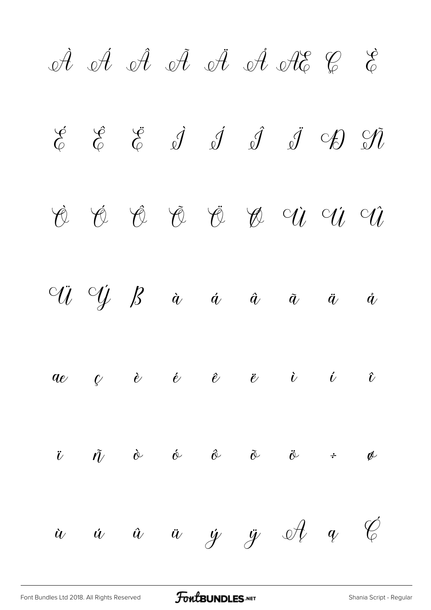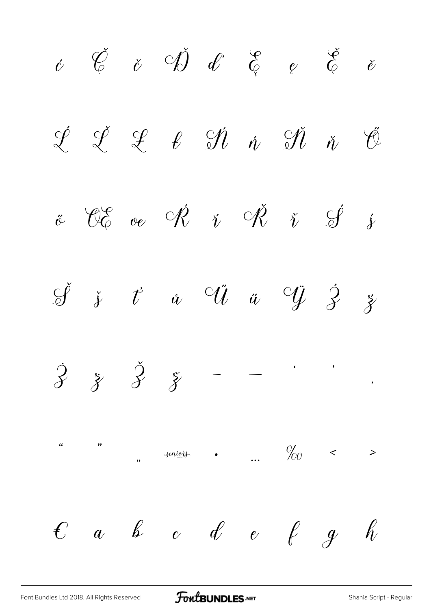$\begin{array}{ccccc} \acute{c} & \acute{C} & \acute{c} & \acute{C} & \acute{d} & \acute{d} & \acute{e} & \acute{e} & \acute{e} & \acute{e} & \acute{e} & \end{array}$  $\begin{array}{cccccccccc} \mathcal{L} & \mathcal{L} & \mathcal{L} & \mathcal{L} & \mathcal{N} & \dot{\mathcal{N}} & \dot{\mathcal{N}} & \dot{\mathcal{N}} & \dot{\mathcal{N}} & \mathcal{V} \end{array}$  $\ddot{\mathscr{C}}$   $\mathscr{C}$   $\mathscr{C}$   $\mathscr{C}$   $\ddot{\mathscr{C}}$   $\ddot{\mathscr{C}}$   $\ddot{\mathscr{C}}$   $\ddot{\mathscr{C}}$   $\ddot{\mathscr{C}}$  $\check{\mathscr{G}}$  *š*  $t^{\prime}$  *ů*  $\check{\mathscr{G}}$  *ŭ*  $\check{\mathscr{G}}$   $\check{\mathscr{G}}$  *ž*  $\dot{\mathcal{Z}}$   $\ddot{\mathcal{Z}}$   $\ddot{\mathcal{Z}}$ " " " ‡ • … ‰ ‹ ›  $\begin{array}{cccccccccccccc} \mathcal{C} & a & b & c & d & e & e & g & g & h \end{array}$ 

[Font Bundles Ltd 2018. All Rights Reserved](https://fontbundles.net/) **FoutBUNDLES.NET** [Shania Script - Regular](https://fontbundles.net/)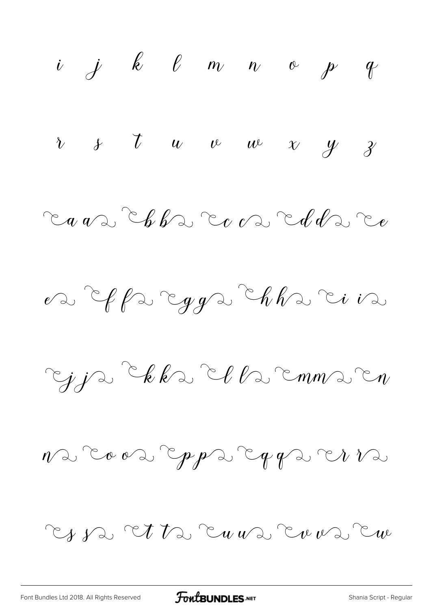$i$   $j$   $k$   $\ell$   $m$   $n$   $e$   $p$   $q$  $\begin{array}{ccccccccc} \nu & & \nu & & \nu & & w & w & \nu & & \gamma & \gamma \end{array}$  $\mathbb{C}_q$  and  $\mathbb{C}_b$  for  $\mathbb{C}_c$  on  $\mathbb{C}_d$  of  $d$  and  $\mathbb{C}_e$  $\mathscr{C}$  of fact yga chhacina Ejje Ekke Elle EmmerEn  $n\infty$  coos copps copps co $\sqrt[n]{2}$ Es sa Et ta Eu va Evera Eu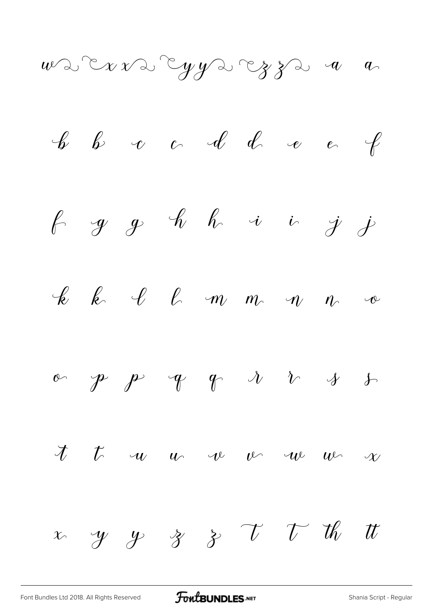$uv$  d'Exvangyvangza a a

 

[Font Bundles Ltd 2018. All Rights Reserved](https://fontbundles.net/) **FoutBUNDLES.NET** [Shania Script - Regular](https://fontbundles.net/)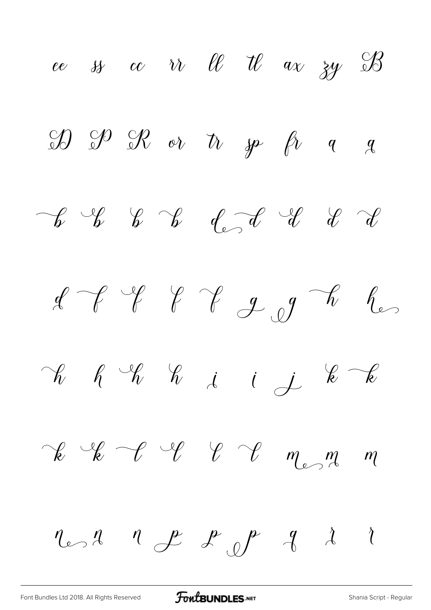ee ss cc ir el tl ax zy B  $\mathcal{D}$   $\mathcal{D}$   $\mathcal{R}$  or  $\hbar$   $\mathcal{P}$   $\hbar$   $q$   $q$  $\begin{array}{ccccccccc} &\mathcal{C} &\mathcal{C} &\mathcal{C} &\mathcal{C} &\mathcal{C} &\mathcal{C} &\mathcal{C} &\mathcal{C}\end{array}$  $df$  if if  $f$  if  $g$  of  $h$  by  $\neg\!k$   $\neg\!k$   $\neg\!k$   $\neg\!k$   $\neg\!k$   $\neg\!k$  $\begin{array}{cccccccccc} \mathcal{C} & \mathcal{C} & \mathcal{C} & \mathcal{C} & \mathcal{C} & \mathcal{C} & \mathcal{C} & \mathcal{C} & \mathcal{C} & \mathcal{C} & \mathcal{C} & \mathcal{C} & \mathcal{C} & \mathcal{C} & \mathcal{C} & \mathcal{C} & \mathcal{C} & \mathcal{C} & \mathcal{C} & \mathcal{C} & \mathcal{C} & \mathcal{C} & \mathcal{C} & \mathcal{C} & \mathcal{C} & \mathcal{C} & \mathcal{C} & \mathcal{C} & \mathcal{C} & \mathcal{C} & \$  $n_{\epsilon}$ ,  $n_{\epsilon}$  ,  $p_{\epsilon}$  ,  $p_{\epsilon}$  ,  $q_{\epsilon}$  ,  $i$ 

[Font Bundles Ltd 2018. All Rights Reserved](https://fontbundles.net/) **FoutBUNDLES.NET** [Shania Script - Regular](https://fontbundles.net/)